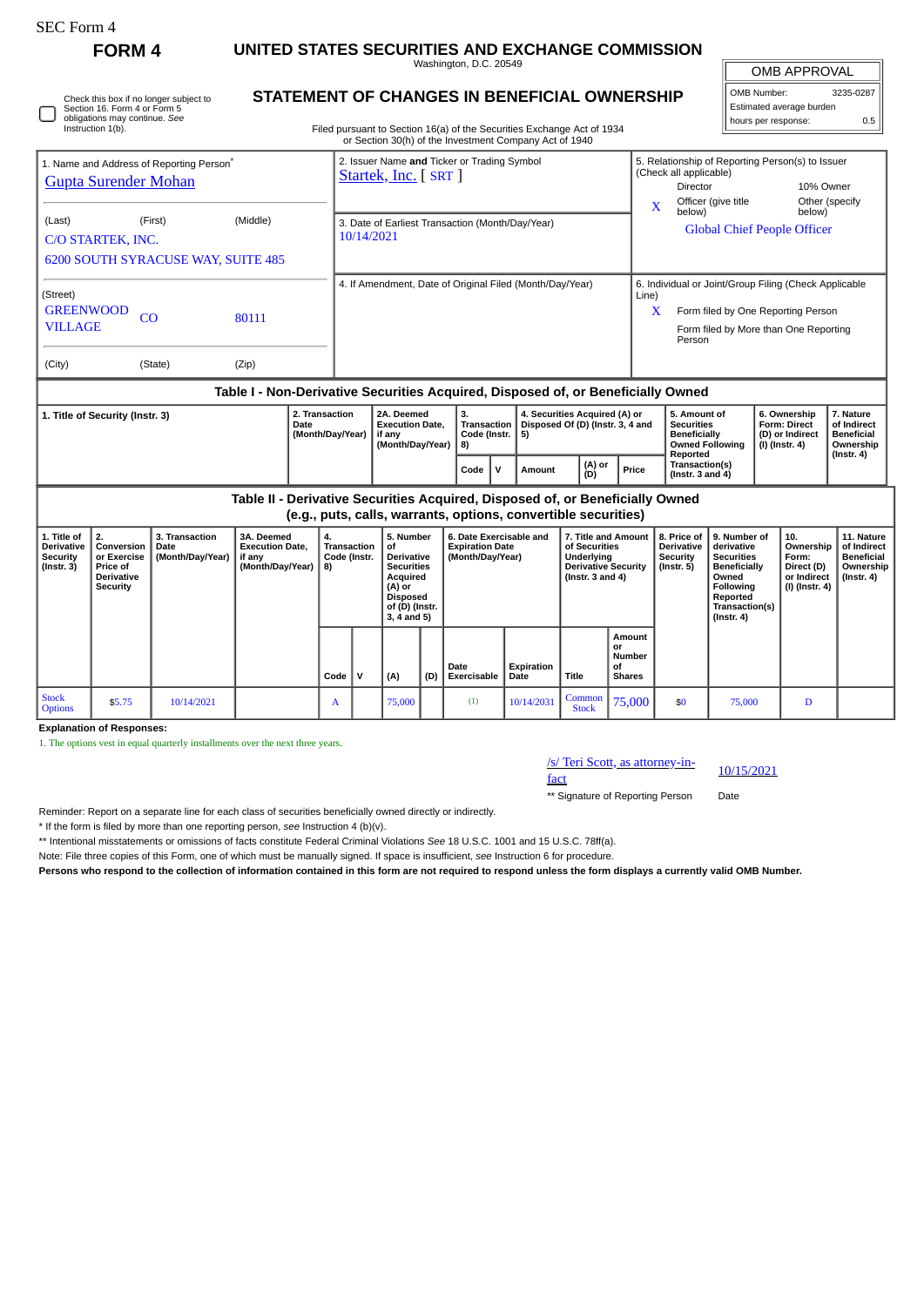| τ.<br>Form |
|------------|
|------------|

П

Check this box if no longer subject to Section 16. Form 4 or Form 5 obligations may continue. *See*

## **FORM 4 UNITED STATES SECURITIES AND EXCHANGE COMMISSION**

Washington, D.C. 20549 **STATEMENT OF CHANGES IN BENEFICIAL OWNERSHIP**

OMB APPROVAL

OMB Number: 3235-0287 Estimated average burden hours per response: 0.5

| Instruction 1(b).                                                                             |         |          | Filed pursuant to Section 16(a) of the Securities Exchange Act of 1934<br>or Section 30(h) of the Investment Company Act of 1940 |            |                                                                                                                                |                                                                             |                                                       |  |  |
|-----------------------------------------------------------------------------------------------|---------|----------|----------------------------------------------------------------------------------------------------------------------------------|------------|--------------------------------------------------------------------------------------------------------------------------------|-----------------------------------------------------------------------------|-------------------------------------------------------|--|--|
| 1. Name and Address of Reporting Person <sup>®</sup><br><b>Gupta Surender Mohan</b><br>(Last) | (First) | (Middle) | 2. Issuer Name and Ticker or Trading Symbol<br>Startek, Inc. [ SRT ]<br>3. Date of Earliest Transaction (Month/Day/Year)         | X          | 5. Relationship of Reporting Person(s) to Issuer<br>(Check all applicable)<br><b>Director</b><br>Officer (give title<br>below) |                                                                             | 10% Owner<br>Other (specify<br>below)                 |  |  |
| C/O STARTEK, INC.<br><b>6200 SOUTH SYRACUSE WAY, SUITE 485</b>                                |         |          | 10/14/2021                                                                                                                       |            |                                                                                                                                | <b>Global Chief People Officer</b>                                          |                                                       |  |  |
| (Street)<br><b>GREENWOOD</b><br><b>VILLAGE</b>                                                | CO      | 80111    | 4. If Amendment, Date of Original Filed (Month/Day/Year)                                                                         | Line)<br>X | Person                                                                                                                         | Form filed by One Reporting Person<br>Form filed by More than One Reporting | 6. Individual or Joint/Group Filing (Check Applicable |  |  |
| (City)                                                                                        | (State) | (Zip)    |                                                                                                                                  |            |                                                                                                                                |                                                                             |                                                       |  |  |
| Table I - Non-Derivative Securities Acquired, Disposed of, or Beneficially Owned              |         |          |                                                                                                                                  |            |                                                                                                                                |                                                                             |                                                       |  |  |

| 1. Title of Security (Instr. 3) | 2. Transaction<br>Date<br>(Month/Dav/Year) | 2A. Deemed<br><b>Execution Date.</b><br>if anv<br>(Month/Dav/Year) | Code (Instr.   5)<br>l 8) |  | 4. Securities Acquired (A) or<br>Transaction   Disposed Of (D) (Instr. 3, 4 and |               |       | 5. Amount of<br><b>Securities</b><br><b>Beneficially</b><br><b>Owned Following</b> | 6. Ownership<br>Form: Direct<br>(D) or Indirect<br>  (I) (Instr. 4) | '. Nature<br>of Indirect<br><b>Beneficial</b><br>Ownership |
|---------------------------------|--------------------------------------------|--------------------------------------------------------------------|---------------------------|--|---------------------------------------------------------------------------------|---------------|-------|------------------------------------------------------------------------------------|---------------------------------------------------------------------|------------------------------------------------------------|
|                                 |                                            |                                                                    | Code                      |  | Amount                                                                          | (A) or<br>(D) | Price | Reported<br>Transaction(s)<br>( $Instr. 3 and 4$ )                                 |                                                                     | $($ Instr. 4 $)$                                           |

**Table II - Derivative Securities Acquired, Disposed of, or Beneficially Owned (e.g., puts, calls, warrants, options, convertible securities) 1. Title of Derivative Security (Instr. 3) 2. Conversion or Exercise Price of Derivative Security 3. Transaction Date (Month/Day/Year) 3A. Deemed Execution Date, if any (Month/Day/Year) 4. Transaction Code (Instr. 8) 5. Number of Derivative Securities Acquired (A) or Disposed of (D) (Instr. 3, 4 and 5) 6. Date Exercisable and Expiration Date (Month/Day/Year) 7. Title and Amount of Securities Underlying Derivative Security (Instr. 3 and 4) 8. Price of Derivative Security (Instr. 5) 9. Number of derivative Securities Beneficially Owned Following Reported Transaction(s) (Instr. 4) 10. Ownership Form: Direct (D) or Indirect (I) (Instr. 4) 11. Nature of Indirect Beneficial Ownership (Instr. 4) Code V (A) (D) Date Exercisable Expiration Date Title Amount or Number of Shares** Stock<br>Ontions Stock 55.75 10/14/2021 A 75,000 (1) 10/14/2031 Common Stock  $\begin{array}{|c|c|c|c|c|c|c|c|} \hline \text{Common} & 75,000 & $50 & 75,000 & D \ \hline \end{array}$ 

**Explanation of Responses:**

1. The options vest in equal quarterly installments over the next three years.

## /s/ Teri Scott, as attorney-in-<br>fact

\*\* Signature of Reporting Person Date

Reminder: Report on a separate line for each class of securities beneficially owned directly or indirectly.

\* If the form is filed by more than one reporting person, *see* Instruction 4 (b)(v).

\*\* Intentional misstatements or omissions of facts constitute Federal Criminal Violations *See* 18 U.S.C. 1001 and 15 U.S.C. 78ff(a).

Note: File three copies of this Form, one of which must be manually signed. If space is insufficient, *see* Instruction 6 for procedure.

**Persons who respond to the collection of information contained in this form are not required to respond unless the form displays a currently valid OMB Number.**